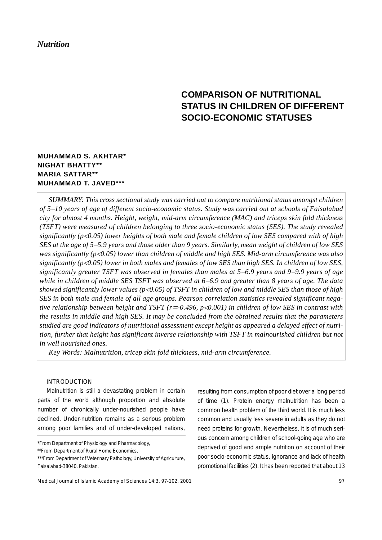# *Nutrition*

# **COMPARISON OF NUTRITIONAL STATUS IN CHILDREN OF DIFFERENT SOCIO-ECONOMIC STATUSES**

# **MUHAMMAD S. AKHTAR\* NIGHAT BHATTY\*\* MARIA SATTAR\*\* MUHAMMAD T. JAVED\*\*\***

*SUMMARY: This cross sectional study was carried out to compare nutritional status amongst children of 5*−*10 years of age of different socio-economic status. Study was carried out at schools of Faisalabad city for almost 4 months. Height, weight, mid-arm circumference (MAC) and triceps skin fold thickness (TSFT) were measured of children belonging to three socio-economic status (SES). The study revealed significantly (p*<*0.05) lower heights of both male and female children of low SES compared with of high SES at the age of 5*−*5.9 years and those older than 9 years. Similarly, mean weight of children of low SES was significantly (p*<*0.05) lower than children of middle and high SES. Mid-arm circumference was also significantly (p*<*0.05) lower in both males and females of low SES than high SES. In children of low SES, significantly greater TSFT was observed in females than males at 5*−*6.9 years and 9*−*9.9 years of age while in children of middle SES TSFT was observed at 6*−*6.9 and greater than 8 years of age. The data showed significantly lower values (p*<*0.05) of TSFT in children of low and middle SES than those of high SES in both male and female of all age groups. Pearson correlation statistics revealed significant negative relationship between height and TSFT (r*=*-0.496, p*<*0.001) in children of low SES in contrast with the results in middle and high SES. It may be concluded from the obtained results that the parameters studied are good indicators of nutritional assessment except height as appeared a delayed effect of nutrition, further that height has significant inverse relationship with TSFT in malnourished children but not in well nourished ones.*

*Key Words: Malnutrition, tricep skin fold thickness, mid-arm circumference.*

# INTRODUCTION

Malnutrition is still a devastating problem in certain parts of the world although proportion and absolute number of chronically under-nourished people have declined. Under-nutrition remains as a serious problem among poor families and of under-developed nations,

resulting from consumption of poor diet over a long period of time (1). Protein energy malnutrition has been a common health problem of the third world. It is much less common and usually less severe in adults as they do not need proteins for growth. Nevertheless, it is of much serious concern among children of school-going age who are deprived of good and ample nutrition on account of their poor socio-economic status, ignorance and lack of health promotional facilities (2). It has been reported that about 13

<sup>\*</sup>From Department of Physiology and Pharmacology,

<sup>\*\*</sup>From Department of Rural Home Economics,

<sup>\*\*\*</sup>From Department of Veterinary Pathology, University of Agriculture, Faisalabad-38040, Pakistan.

Medical Journal of Islamic Academy of Sciences 14:3, 97-102, 2001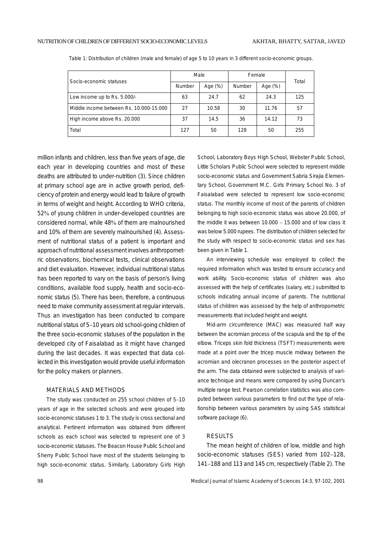|                                         |        | Male       |               | Female  | Total |
|-----------------------------------------|--------|------------|---------------|---------|-------|
| Socio-economic statuses                 | Number | Age $(\%)$ | <b>Number</b> | Age (%) |       |
| Low income up to Rs. 5.000/-            | 63     | 24.7       | 62            | 24.3    | 125   |
| Middle income between Rs. 10.000-15.000 | 27     | 10.58      | 30            | 11.76   | 57    |
| High income above Rs. 20.000            | 37     | 14.5       | 36            | 14.12   | 73    |
| Total                                   | 127    | 50         | 128           | 50      | 255   |

Table 1: Distribution of children (male and female) of age 5 to 10 years in 3 different socio-economic groups.

million infants and children, less than five years of age, die each year in developing countries and most of these deaths are attributed to under-nutrition (3). Since children at primary school age are in active growth period, deficiency of protein and energy would lead to failure of growth in terms of weight and height. According to WHO criteria, 52% of young children in under-developed countries are considered normal, while 48% of them are malnourished and 10% of them are severely malnourished (4). Assessment of nutritional status of a patient is important and approach of nutritional assessment involves anthropometric observations, biochemical tests, clinical observations and diet evaluation. However, individual nutritional status has been reported to vary on the basis of person's living conditions, available food supply, health and socio-economic status (5). There has been, therefore, a continuous need to make community assessment at regular intervals. Thus an investigation has been conducted to compare nutritional status of 5−10 years old school-going children of the three socio-economic statuses of the population in the developed city of Faisalabad as it might have changed during the last decades. It was expected that data collected in this investigation would provide useful information for the policy makers or planners.

### MATERIALS AND METHODS

The study was conducted on 255 school children of 5−10 years of age in the selected schools and were grouped into socio-economic statuses 1 to 3. The study is cross sectional and analytical. Pertinent information was obtained from different schools as each school was selected to represent one of 3 socio-economic statuses. The Beacon House Public School and Sherry Public School have most of the students belonging to high socio-economic status. Similarly, Laboratory Girls High

School, Laboratory Boys High School, Webster Public School, Little Scholars Public School were selected to represent middle socio-economic status and Government Sabria Sirajia Elementary School, Government M.C. Girls Primary School No. 3 of Faisalabad were selected to represent low socio-economic status. The monthly income of most of the parents of children belonging to high socio-economic status was above 20.000, of the middle it was between 10.000 − 15.000 and of low class it was below 5.000 rupees. The distribution of children selected for the study with respect to socio-economic status and sex has been given in Table 1.

An interviewing schedule was employed to collect the required information which was tested to ensure accuracy and work ability. Socio-economic status of children was also assessed with the help of certificates (salary, etc.) submitted to schools indicating annual income of parents. The nutritional status of children was assessed by the help of anthropometric measurements that included height and weight.

Mid-arm circumference (MAC) was measured half way between the acromian process of the scapula and the tip of the elbow. Triceps skin fold thickness (TSFT) measurements were made at a point over the tricep muscle midway between the acromian and olecranon processes on the posterior aspect of the arm. The data obtained were subjected to analysis of variance technique and means were compared by using Duncan's multiple range test. Pearson correlation statistics was also computed between various parameters to find out the type of relationship between various parameters by using SAS statistical software package (6).

#### **RESULTS**

The mean height of children of low, middle and high socio-economic statuses (SES) varied from 102−128, 141−188 and 113 and 145 cm, respectively (Table 2). The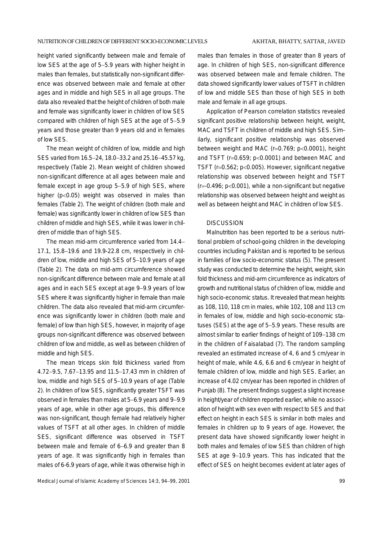height varied significantly between male and female of low SES at the age of 5−5.9 years with higher height in males than females, but statistically non-significant difference was observed between male and female at other ages and in middle and high SES in all age groups. The data also revealed that the height of children of both male and female was significantly lower in children of low SES compared with children of high SES at the age of 5−5.9 years and those greater than 9 years old and in females of low SES.

The mean weight of children of low, middle and high SES varied from 16.5−24, 18.0−33.2 and 25.16−45.57 kg, respectively (Table 2). Mean weight of children showed non-significant difference at all ages between male and female except in age group 5−5.9 of high SES, where higher (p<0.05) weight was observed in males than females (Table 2). The weight of children (both male and female) was significantly lower in children of low SES than children of middle and high SES, while it was lower in children of middle than of high SES.

The mean mid-arm circumference varied from 14.4− 17.1, 15.8−19.6 and 19.9-22.8 cm, respectively in children of low, middle and high SES of 5−10.9 years of age (Table 2). The data on mid-arm circumference showed non-significant difference between male and female at all ages and in each SES except at age 9−9.9 years of low SES where it was significantly higher in female than male children. The data also revealed that mid-arm circumference was significantly lower in children (both male and female) of low than high SES, however, in majority of age groups non-significant difference was observed between children of low and middle, as well as between children of middle and high SES.

The mean triceps skin fold thickness varied from 4.72−9.5, 7.67−13.95 and 11.5−17.43 mm in children of low, middle and high SES of 5−10.9 years of age (Table 2). In children of low SES, significantly greater TSFT was observed in females than males at 5−6.9 years and 9−9.9 years of age, while in other age groups, this difference was non-significant, though female had relatively higher values of TSFT at all other ages. In children of middle SES, significant difference was observed in TSFT between male and female of 6−6.9 and greater than 8 years of age. It was significantly high in females than males of 6-6.9 years of age, while it was otherwise high in

Medical Journal of Islamic Academy of Sciences 14:3, 94−99, 2001 99

males than females in those of greater than 8 years of age. In children of high SES, non-significant difference was observed between male and female children. The data showed significantly lower values of TSFT in children of low and middle SES than those of high SES in both male and female in all age groups.

Application of Pearson correlation statistics revealed significant positive relationship between height, weight, MAC and TSFT in children of middle and high SES. Similarly, significant positive relationship was observed between weight and MAC (r=0.769; p<0.0001), height and TSFT (r=0.659; p<0.0001) and between MAC and TSFT (r=0.562; p<0.005). However, significant negative relationship was observed between height and TSFT  $(r=0.496; p<0.001)$ , while a non-significant but negative relationship was observed between height and weight as well as between height and MAC in children of low SES.

### **DISCUSSION**

Malnutrition has been reported to be a serious nutritional problem of school-going children in the developing countries including Pakistan and is reported to be serious in families of low socio-economic status (5). The present study was conducted to determine the height, weight, skin fold thickness and mid-arm circumference as indicators of growth and nutritional status of children of low, middle and high socio-economic status. It revealed that mean heights as 108, 110, 118 cm in males, while 102, 108 and 113 cm in females of low, middle and high socio-economic statuses (SES) at the age of 5−5.9 years. These results are almost similar to earlier findings of height of 109−138 cm in the children of Faisalabad (7). The random sampling revealed an estimated increase of 4, 6 and 5 cm/year in height of male, while 4.6, 6.6 and 6 cm/year in height of female children of low, middle and high SES. Earlier, an increase of 4.02 cm/year has been reported in children of Punjab (8). The present findings suggest a slight increase in height/year of children reported earlier, while no association of height with sex even with respect to SES and that effect on height in each SES is similar in both males and females in children up to 9 years of age. However, the present data have showed significantly lower height in both males and females of low SES than children of high SES at age 9−10.9 years. This has indicated that the effect of SES on height becomes evident at later ages of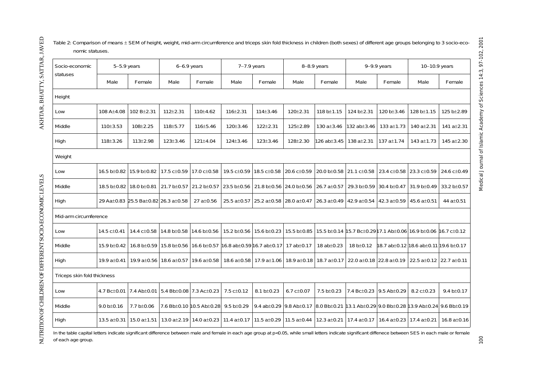| Socio-economic<br>statuses  | $5-5.9$ years |                                     | $6-6.9$ years                         |                          | $7-7.9$ years                                                                     |                                     | 8-8.9 years                                           |                                                             | $9-9.9$ years                                                             |                                                         | 10-10.9 years           |                   |
|-----------------------------|---------------|-------------------------------------|---------------------------------------|--------------------------|-----------------------------------------------------------------------------------|-------------------------------------|-------------------------------------------------------|-------------------------------------------------------------|---------------------------------------------------------------------------|---------------------------------------------------------|-------------------------|-------------------|
|                             | Male          | Female                              | Male                                  | Female                   | Male                                                                              | Female                              | Male                                                  | Female                                                      | Male                                                                      | Female                                                  | Male                    | Female            |
| Height                      |               |                                     |                                       |                          |                                                                                   |                                     |                                                       |                                                             |                                                                           |                                                         |                         |                   |
| Low                         | 108 A±4.08    | 102 B±2.31                          | $112 \pm 2.31$                        | 110±4.62                 | 116±2.31                                                                          | 114±3.46                            | $120 \pm 2.31$                                        | 118 b $\pm$ 1.15                                            | 124 b±2.31                                                                | 120 b±3.46                                              | 128 b±1.15              | 125 b±2.89        |
| Middle                      | 110±3.53      | $108 \pm 2.25$                      | 118±5.77                              | 116±5.46                 | 120±3.46                                                                          | $122 \pm 2.31$                      | 125±2.89                                              | 130 $a \pm 3.46$                                            | 132 ab±3.46                                                               | 133 $a \pm 1.73$                                        | 140 a±2.31              | 141 $a \pm 2.31$  |
| High                        | 118±3.26      | $113 \pm 2.98$                      | $123 \pm 3.46$                        | 121±4.04                 | 124±3.46                                                                          | 123±3.46                            | 128±2.30                                              | 126 ab±3.45                                                 | 138 $a \pm 2.31$                                                          | 137 a±1.74                                              | 143 a±1.73              | 145 a±2.30        |
| Weight                      |               |                                     |                                       |                          |                                                                                   |                                     |                                                       |                                                             |                                                                           |                                                         |                         |                   |
| Low                         |               | 16.5 b±0.82 15.9 b±0.82             | 17.5 c±0.59                           | 17.0 c±0.58              | 19.5 c±0.59                                                                       | 18.5 c±0.58                         | 20.6 c±0.59                                           | 20.0 b±0.58                                                 | 21.1 c±0.58 23.4 c±0.58 23.3 c±0.59                                       |                                                         |                         | 24.6 c±0.49       |
| Middle                      | 18.5 b±0.82   | 18.0 b±0.81                         | 21.7 b±0.57                           | 21.2 b±0.57              | 23.5 b±0.56                                                                       | 21.8 b $\pm$ 0.56 24.0 b $\pm$ 0.56 |                                                       | 26.7 $a \pm 0.57$                                           | 29.3 b±0.59                                                               | 30.4 b±0.47                                             | 31.9 b±0.49             | 33.2 b±0.57       |
| High                        |               | 29 Aa±0.83 25.5 Ba±0.82 26.3 a±0.58 |                                       | 27 a±0.56                | 25.5 a±0.57                                                                       | 25.2 a±0.58 28.0 a±0.47             |                                                       | $\vert$ 26.3 a±0.49 $\vert$ 42.9 a±0.54 $\vert$ 42.3 a±0.59 |                                                                           |                                                         | 45.6 $a \pm 0.51$       | 44 a±0.51         |
| Mid-arm circumference       |               |                                     |                                       |                          |                                                                                   |                                     |                                                       |                                                             |                                                                           |                                                         |                         |                   |
| Low                         | 14.5 c±0.41   | 14.4 c±0.58                         | 14.8 b±0.58                           | 14.6 b±0.56              | 15.2 b±0.56                                                                       | 15.6 b±0.23                         | 15.5 b±0.85                                           |                                                             | 15.5 b±0.14 15.7 Bc±0.29 17.1 Ab±0.06 16.9 b±0.06 16.7 c±0.12             |                                                         |                         |                   |
| Middle                      | 15.9 b±0.42   | 16.8 b±0.59                         | 15.8 b±0.56                           |                          | 16.6 b±0.57 16.8 ab±0.59 16.7 ab±0.17 17 ab±0.17                                  |                                     |                                                       | 18 ab±0.23                                                  | 18 b±0.12                                                                 | 18.7 ab $\pm$ 0.12 18.6 ab $\pm$ 0.11 19.6 b $\pm$ 0.17 |                         |                   |
| High                        | 19.9 a±0.41   | 19.9 a±0.56                         | 18.6 a±0.57                           | 19.6 a±0.58              | 18.6 a±0.58                                                                       | 17.9 a±1.06                         | 18.9 a±0.18                                           | 18.7 a±0.17                                                 | 22.0 a±0.18 22.8 a±0.19                                                   |                                                         | 22.5 a±0.12 22.7 a±0.11 |                   |
| Triceps skin fold thickness |               |                                     |                                       |                          |                                                                                   |                                     |                                                       |                                                             |                                                                           |                                                         |                         |                   |
| Low                         | 4.7 Bc±0.01   | $7.4$ Ab $\pm$ 0.01                 | $5.4$ Bb $\pm$ 0.08 7.3 Ac $\pm$ 0.23 |                          | 7.5 c±0.12                                                                        | 8.1 $b \pm 0.23$                    | 6.7 $c \pm 0.07$                                      | 7.5 b±0.23                                                  | 7.4 Bc±0.23 9.5 Ab±0.29                                                   |                                                         | 8.2 c±0.23              | 9.4 $b \pm 0.17$  |
| Middle                      | 9.0 b±0.16    | 7.7 b±0.06                          |                                       | 7.6 Bb±0.10 10.5 Ab±0.28 | $9.5 b \pm 0.29$                                                                  |                                     | 9.4 ab $\pm$ 0.29 9.8 Ab $\pm$ 0.17 8.0 Bb $\pm$ 0.21 |                                                             | 13.1 Ab $\pm$ 0.29 9.0 Bb $\pm$ 0.28 13.9 Ab $\pm$ 0.24 9.6 Bb $\pm$ 0.19 |                                                         |                         |                   |
| High                        | 13.5 a±0.31   | 15.0 $a \pm 1.51$                   |                                       |                          | 13.0 a±2.19   14.0 a±0.23   11.4 a±0.17   11.5 a±0.29   11.5 a±0.44   12.3 a±0.21 |                                     |                                                       |                                                             |                                                                           | 17.4 a±0.17   16.4 a±0.23   17.4 a±0.21                 |                         | 16.8 $a \pm 0.16$ |

AKHTAR, BHATTY, SATTAR, JAVED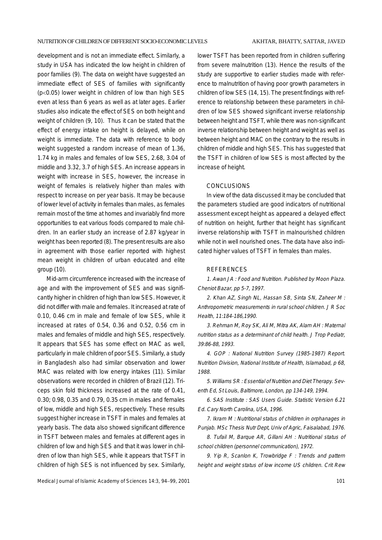development and is not an immediate effect. Similarly, a study in USA has indicated the low height in children of poor families (9). The data on weight have suggested an immediate effect of SES of families with significantly (p<0.05) lower weight in children of low than high SES even at less than 6 years as well as at later ages. Earlier studies also indicate the effect of SES on both height and weight of children (9, 10). Thus it can be stated that the effect of energy intake on height is delayed, while on weight is immediate. The data with reference to body weight suggested a random increase of mean of 1.36, 1.74 kg in males and females of low SES, 2.68, 3.04 of middle and 3.32, 3.7 of high SES. An increase appears in weight with increase in SES, however, the increase in weight of females is relatively higher than males with respect to increase on per year basis. It may be because of lower level of activity in females than males, as females remain most of the time at homes and invariably find more opportunities to eat various foods compared to male children. In an earlier study an increase of 2.87 kg/year in weight has been reported (8). The present results are also in agreement with those earlier reported with highest mean weight in children of urban educated and elite group (10).

Mid-arm circumference increased with the increase of age and with the improvement of SES and was significantly higher in children of high than low SES. However, it did not differ with male and females. It increased at rate of 0.10, 0.46 cm in male and female of low SES, while it increased at rates of 0.54, 0.36 and 0.52, 0.56 cm in males and females of middle and high SES, respectively. It appears that SES has some effect on MAC as well, particularly in male children of poor SES. Similarly, a study in Bangladesh also had similar observation and lower MAC was related with low energy intakes (11). Similar observations were recorded in children of Brazil (12). Triceps skin fold thickness increased at the rate of 0.41, 0.30; 0.98, 0.35 and 0.79, 0.35 cm in males and females of low, middle and high SES, respectively. These results suggest higher increase in TSFT in males and females at yearly basis. The data also showed significant difference in TSFT between males and females at different ages in children of low and high SES and that it was lower in children of low than high SES, while it appears that TSFT in children of high SES is not influenced by sex. Similarly,

lower TSFT has been reported from in children suffering from severe malnutrition (13). Hence the results of the study are supportive to earlier studies made with reference to malnutrition of having poor growth parameters in children of low SES (14, 15). The present findings with reference to relationship between these parameters in children of low SES showed significant inverse relationship between height and TSFT, while there was non-significant inverse relationship between height and weight as well as between height and MAC on the contrary to the results in children of middle and high SES. This has suggested that the TSFT in children of low SES is most affected by the increase of height.

# **CONCLUSIONS**

In view of the data discussed it may be concluded that the parameters studied are good indicators of nutritional assessment except height as appeared a delayed effect of nutrition on height, further that height has significant inverse relationship with TSFT in malnourished children while not in well nourished ones. The data have also indicated higher values of TSFT in females than males.

#### REFERENCES

1. Awan JA : Food and Nutrition. Published by Moon Plaza. Cheniot Bazar, pp 5-7, 1997.

2. Khan AZ, Singh NL, Hassan SB, Sinta SN, Zaheer M : Anthropometric measurements in rural school children. J R Soc Health, 11:184-186,1990.

3. Rehman M, Roy SK, Ali M, Mitra AK, Alam AH : Maternal nutrition status as a determinant of child health. J Trop Pediatr, 39:86-88, 1993.

4. GOP : National Nutrition Survey (1985-1987) Report. Nutrition Division, National Institute of Health, Islamabad, p 68, 1988.

5. Williams SR : Essential of Nutrition and Diet Therapy. Seventh Ed, St Louis, Baltimore, London, pp 134-149, 1994.

6. SAS Institute : SAS Users Guide. Statistic Version 6.21 Ed. Cary North Carolina, USA, 1996.

7. Ikram M : Nutritional status of children in orphanages in Punjab. MSc Thesis Nutr Dept, Univ of Agric, Faisalabad, 1976.

8. Tufail M, Barque AR, Gillani AH : Nutritional status of school children (personnel communication), 1972.

9. Yip R, Scanlon K, Trowbridge F: Trends and pattern height and weight status of low income US children. Crit Rew